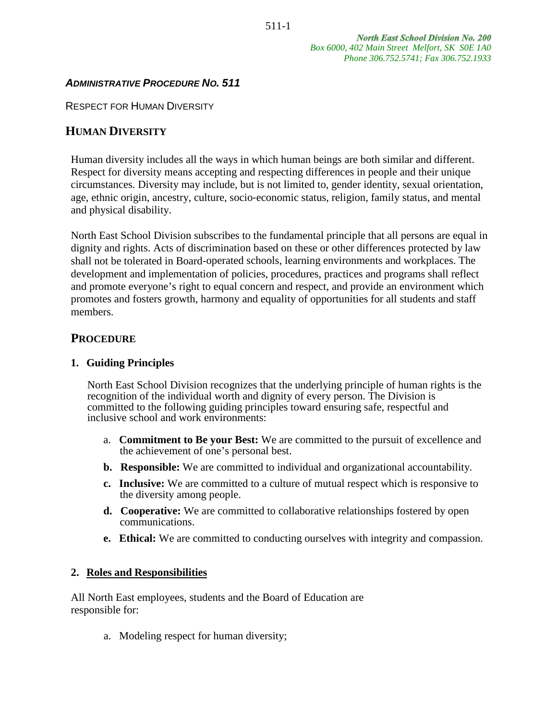**North East School Division No. 200** *Box 6000, 402 Main Street Melfort, SK S0E 1A0 Phone 306.752.5741; Fax 306.752.1933*

## *ADMINISTRATIVE PROCEDURE NO. 511*

RESPECT FOR HUMAN DIVERSITY

## **HUMAN DIVERSITY**

Human diversity includes all the ways in which human beings are both similar and different. Respect for diversity means accepting and respecting differences in people and their unique circumstances. Diversity may include, but is not limited to, gender identity, sexual orientation, age, ethnic origin, ancestry, culture, socio‐economic status, religion, family status, and mental and physical disability.

North East School Division subscribes to the fundamental principle that all persons are equal in dignity and rights. Acts of discrimination based on these or other differences protected by law shall not be tolerated in Board‐operated schools, learning environments and workplaces. The development and implementation of policies, procedures, practices and programs shall reflect and promote everyone's right to equal concern and respect, and provide an environment which promotes and fosters growth, harmony and equality of opportunities for all students and staff members.

### **PROCEDURE**

#### **1. Guiding Principles**

North East School Division recognizes that the underlying principle of human rights is the recognition of the individual worth and dignity of every person. The Division is committed to the following guiding principles toward ensuring safe, respectful and inclusive school and work environments:

- a. **Commitment to Be your Best:** We are committed to the pursuit of excellence and the achievement of one's personal best.
- **b. Responsible:** We are committed to individual and organizational accountability.
- **c. Inclusive:** We are committed to a culture of mutual respect which is responsive to the diversity among people.
- **d. Cooperative:** We are committed to collaborative relationships fostered by open communications.
- **e. Ethical:** We are committed to conducting ourselves with integrity and compassion.

#### **2. Roles and Responsibilities**

All North East employees, students and the Board of Education are responsible for:

a. Modeling respect for human diversity;